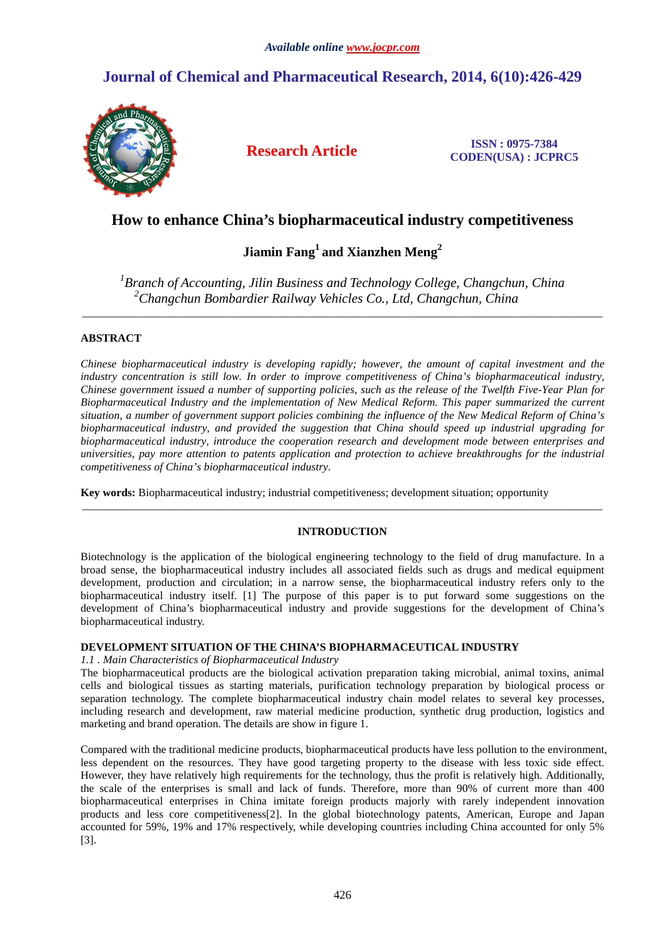# **Journal of Chemical and Pharmaceutical Research, 2014, 6(10):426-429**



**Research Article ISSN : 0975-7384 CODEN(USA) : JCPRC5**

# **How to enhance China's biopharmaceutical industry competitiveness**

# **Jiamin Fang<sup>1</sup>and Xianzhen Meng<sup>2</sup>**

<sup>1</sup> Branch of Accounting, Jilin Business and Technology College, Changchun, China *<sup>2</sup>Changchun Bombardier Railway Vehicles Co., Ltd, Changchun, China* 

\_\_\_\_\_\_\_\_\_\_\_\_\_\_\_\_\_\_\_\_\_\_\_\_\_\_\_\_\_\_\_\_\_\_\_\_\_\_\_\_\_\_\_\_\_\_\_\_\_\_\_\_\_\_\_\_\_\_\_\_\_\_\_\_\_\_\_\_\_\_\_\_\_\_\_\_\_\_\_\_\_\_\_\_\_\_\_\_\_\_\_\_\_

## **ABSTRACT**

*Chinese biopharmaceutical industry is developing rapidly; however, the amount of capital investment and the industry concentration is still low. In order to improve competitiveness of China's biopharmaceutical industry, Chinese government issued a number of supporting policies, such as the release of the Twelfth Five-Year Plan for Biopharmaceutical Industry and the implementation of New Medical Reform. This paper summarized the current situation, a number of government support policies combining the influence of the New Medical Reform of China's biopharmaceutical industry, and provided the suggestion that China should speed up industrial upgrading for biopharmaceutical industry, introduce the cooperation research and development mode between enterprises and universities, pay more attention to patents application and protection to achieve breakthroughs for the industrial competitiveness of China's biopharmaceutical industry.* 

**Key words:** Biopharmaceutical industry; industrial competitiveness; development situation; opportunity

## **INTRODUCTION**

\_\_\_\_\_\_\_\_\_\_\_\_\_\_\_\_\_\_\_\_\_\_\_\_\_\_\_\_\_\_\_\_\_\_\_\_\_\_\_\_\_\_\_\_\_\_\_\_\_\_\_\_\_\_\_\_\_\_\_\_\_\_\_\_\_\_\_\_\_\_\_\_\_\_\_\_\_\_\_\_\_\_\_\_\_\_\_\_\_\_\_\_\_

Biotechnology is the application of the biological engineering technology to the field of drug manufacture. In a broad sense, the biopharmaceutical industry includes all associated fields such as drugs and medical equipment development, production and circulation; in a narrow sense, the biopharmaceutical industry refers only to the biopharmaceutical industry itself. [1] The purpose of this paper is to put forward some suggestions on the development of China's biopharmaceutical industry and provide suggestions for the development of China's biopharmaceutical industry.

## **DEVELOPMENT SITUATION OF THE CHINA'S BIOPHARMACEUTICAL INDUSTRY**

*1.1 . Main Characteristics of Biopharmaceutical Industry* 

The biopharmaceutical products are the biological activation preparation taking microbial, animal toxins, animal cells and biological tissues as starting materials, purification technology preparation by biological process or separation technology. The complete biopharmaceutical industry chain model relates to several key processes, including research and development, raw material medicine production, synthetic drug production, logistics and marketing and brand operation. The details are show in figure 1.

Compared with the traditional medicine products, biopharmaceutical products have less pollution to the environment, less dependent on the resources. They have good targeting property to the disease with less toxic side effect. However, they have relatively high requirements for the technology, thus the profit is relatively high. Additionally, the scale of the enterprises is small and lack of funds. Therefore, more than 90% of current more than 400 biopharmaceutical enterprises in China imitate foreign products majorly with rarely independent innovation products and less core competitiveness[2]. In the global biotechnology patents, American, Europe and Japan accounted for 59%, 19% and 17% respectively, while developing countries including China accounted for only 5% [3].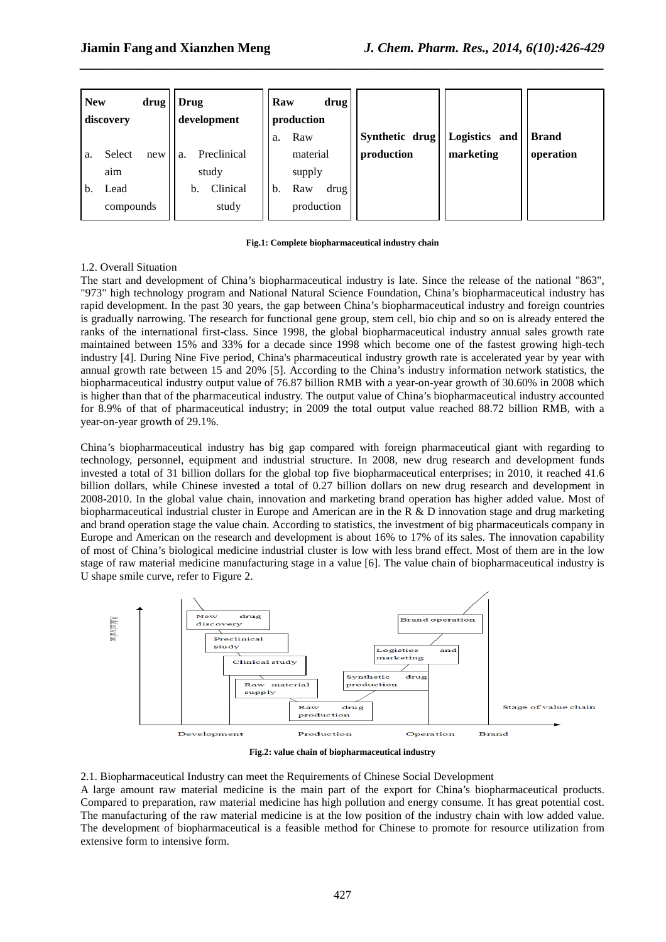| <b>New</b><br>drug'<br>discovery |           | Drug<br>development |    | Raw<br>drug<br>production |        |          |            |                |               |           |
|----------------------------------|-----------|---------------------|----|---------------------------|--------|----------|------------|----------------|---------------|-----------|
|                                  |           |                     |    |                           | a.     | Raw      |            | Synthetic drug | Logistics and | Brand     |
| a.                               | Select    | new                 | a. | Preclinical               |        | material |            | production     | marketing     | operation |
|                                  | aim       | study               |    |                           | supply |          |            |                |               |           |
| b.                               | Lead      |                     | b. | Clinical                  | b.     | Raw      | drug '     |                |               |           |
|                                  | compounds |                     |    | study                     |        |          | production |                |               |           |

*\_\_\_\_\_\_\_\_\_\_\_\_\_\_\_\_\_\_\_\_\_\_\_\_\_\_\_\_\_\_\_\_\_\_\_\_\_\_\_\_\_\_\_\_\_\_\_\_\_\_\_\_\_\_\_\_\_\_\_\_\_\_\_\_\_\_\_\_\_\_\_\_\_\_\_\_\_\_*

#### **Fig.1: Complete biopharmaceutical industry chain**

## 1.2. Overall Situation

The start and development of China's biopharmaceutical industry is late. Since the release of the national "863", "973" high technology program and National Natural Science Foundation, China's biopharmaceutical industry has rapid development. In the past 30 years, the gap between China's biopharmaceutical industry and foreign countries is gradually narrowing. The research for functional gene group, stem cell, bio chip and so on is already entered the ranks of the international first-class. Since 1998, the global biopharmaceutical industry annual sales growth rate maintained between 15% and 33% for a decade since 1998 which become one of the fastest growing high-tech industry [4]. During Nine Five period, China's pharmaceutical industry growth rate is accelerated year by year with annual growth rate between 15 and 20% [5]. According to the China's industry information network statistics, the biopharmaceutical industry output value of 76.87 billion RMB with a year-on-year growth of 30.60% in 2008 which is higher than that of the pharmaceutical industry. The output value of China's biopharmaceutical industry accounted for 8.9% of that of pharmaceutical industry; in 2009 the total output value reached 88.72 billion RMB, with a year-on-year growth of 29.1%.

China's biopharmaceutical industry has big gap compared with foreign pharmaceutical giant with regarding to technology, personnel, equipment and industrial structure. In 2008, new drug research and development funds invested a total of 31 billion dollars for the global top five biopharmaceutical enterprises; in 2010, it reached 41.6 billion dollars, while Chinese invested a total of 0.27 billion dollars on new drug research and development in 2008-2010. In the global value chain, innovation and marketing brand operation has higher added value. Most of biopharmaceutical industrial cluster in Europe and American are in the R & D innovation stage and drug marketing and brand operation stage the value chain. According to statistics, the investment of big pharmaceuticals company in Europe and American on the research and development is about 16% to 17% of its sales. The innovation capability of most of China's biological medicine industrial cluster is low with less brand effect. Most of them are in the low stage of raw material medicine manufacturing stage in a value [6]. The value chain of biopharmaceutical industry is U shape smile curve, refer to Figure 2.



**Fig.2: value chain of biopharmaceutical industry**

2.1. Biopharmaceutical Industry can meet the Requirements of Chinese Social Development A large amount raw material medicine is the main part of the export for China's biopharmaceutical products. Compared to preparation, raw material medicine has high pollution and energy consume. It has great potential cost. The manufacturing of the raw material medicine is at the low position of the industry chain with low added value. The development of biopharmaceutical is a feasible method for Chinese to promote for resource utilization from extensive form to intensive form.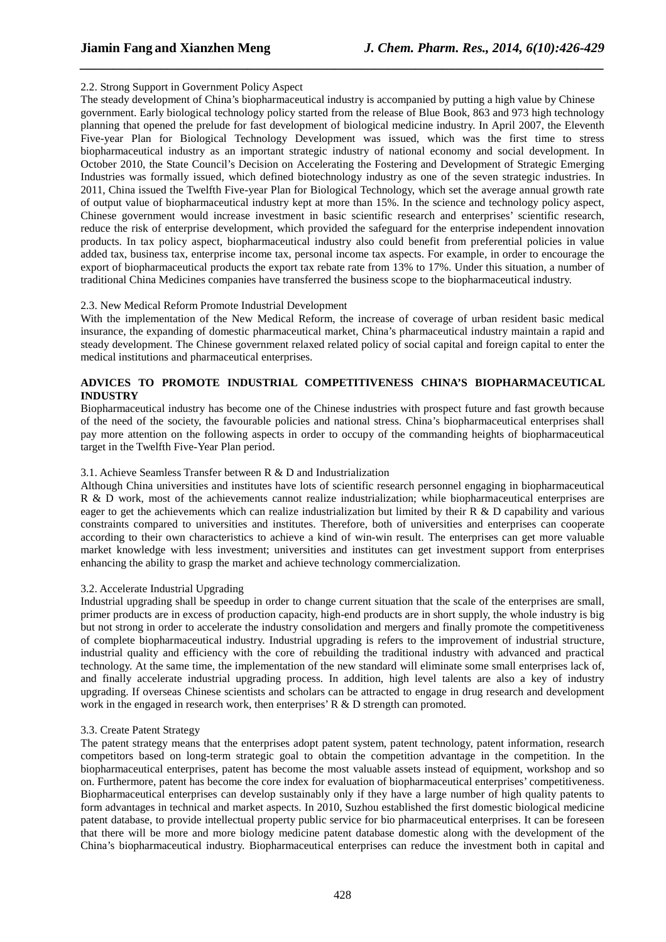## 2.2. Strong Support in Government Policy Aspect

The steady development of China's biopharmaceutical industry is accompanied by putting a high value by Chinese government. Early biological technology policy started from the release of Blue Book, 863 and 973 high technology planning that opened the prelude for fast development of biological medicine industry. In April 2007, the Eleventh Five-year Plan for Biological Technology Development was issued, which was the first time to stress biopharmaceutical industry as an important strategic industry of national economy and social development. In October 2010, the State Council's Decision on Accelerating the Fostering and Development of Strategic Emerging Industries was formally issued, which defined biotechnology industry as one of the seven strategic industries. In 2011, China issued the Twelfth Five-year Plan for Biological Technology, which set the average annual growth rate of output value of biopharmaceutical industry kept at more than 15%. In the science and technology policy aspect, Chinese government would increase investment in basic scientific research and enterprises' scientific research, reduce the risk of enterprise development, which provided the safeguard for the enterprise independent innovation products. In tax policy aspect, biopharmaceutical industry also could benefit from preferential policies in value added tax, business tax, enterprise income tax, personal income tax aspects. For example, in order to encourage the export of biopharmaceutical products the export tax rebate rate from 13% to 17%. Under this situation, a number of traditional China Medicines companies have transferred the business scope to the biopharmaceutical industry.

*\_\_\_\_\_\_\_\_\_\_\_\_\_\_\_\_\_\_\_\_\_\_\_\_\_\_\_\_\_\_\_\_\_\_\_\_\_\_\_\_\_\_\_\_\_\_\_\_\_\_\_\_\_\_\_\_\_\_\_\_\_\_\_\_\_\_\_\_\_\_\_\_\_\_\_\_\_\_*

### 2.3. New Medical Reform Promote Industrial Development

With the implementation of the New Medical Reform, the increase of coverage of urban resident basic medical insurance, the expanding of domestic pharmaceutical market, China's pharmaceutical industry maintain a rapid and steady development. The Chinese government relaxed related policy of social capital and foreign capital to enter the medical institutions and pharmaceutical enterprises.

## **ADVICES TO PROMOTE INDUSTRIAL COMPETITIVENESS CHINA'S BIOPHARMACEUTICAL INDUSTRY**

Biopharmaceutical industry has become one of the Chinese industries with prospect future and fast growth because of the need of the society, the favourable policies and national stress. China's biopharmaceutical enterprises shall pay more attention on the following aspects in order to occupy of the commanding heights of biopharmaceutical target in the Twelfth Five-Year Plan period.

### 3.1. Achieve Seamless Transfer between R & D and Industrialization

Although China universities and institutes have lots of scientific research personnel engaging in biopharmaceutical R & D work, most of the achievements cannot realize industrialization; while biopharmaceutical enterprises are eager to get the achievements which can realize industrialization but limited by their  $R \& D$  capability and various constraints compared to universities and institutes. Therefore, both of universities and enterprises can cooperate according to their own characteristics to achieve a kind of win-win result. The enterprises can get more valuable market knowledge with less investment; universities and institutes can get investment support from enterprises enhancing the ability to grasp the market and achieve technology commercialization.

## 3.2. Accelerate Industrial Upgrading

Industrial upgrading shall be speedup in order to change current situation that the scale of the enterprises are small, primer products are in excess of production capacity, high-end products are in short supply, the whole industry is big but not strong in order to accelerate the industry consolidation and mergers and finally promote the competitiveness of complete biopharmaceutical industry. Industrial upgrading is refers to the improvement of industrial structure, industrial quality and efficiency with the core of rebuilding the traditional industry with advanced and practical technology. At the same time, the implementation of the new standard will eliminate some small enterprises lack of, and finally accelerate industrial upgrading process. In addition, high level talents are also a key of industry upgrading. If overseas Chinese scientists and scholars can be attracted to engage in drug research and development work in the engaged in research work, then enterprises' R & D strength can promoted.

### 3.3. Create Patent Strategy

The patent strategy means that the enterprises adopt patent system, patent technology, patent information, research competitors based on long-term strategic goal to obtain the competition advantage in the competition. In the biopharmaceutical enterprises, patent has become the most valuable assets instead of equipment, workshop and so on. Furthermore, patent has become the core index for evaluation of biopharmaceutical enterprises' competitiveness. Biopharmaceutical enterprises can develop sustainably only if they have a large number of high quality patents to form advantages in technical and market aspects. In 2010, Suzhou established the first domestic biological medicine patent database, to provide intellectual property public service for bio pharmaceutical enterprises. It can be foreseen that there will be more and more biology medicine patent database domestic along with the development of the China's biopharmaceutical industry. Biopharmaceutical enterprises can reduce the investment both in capital and